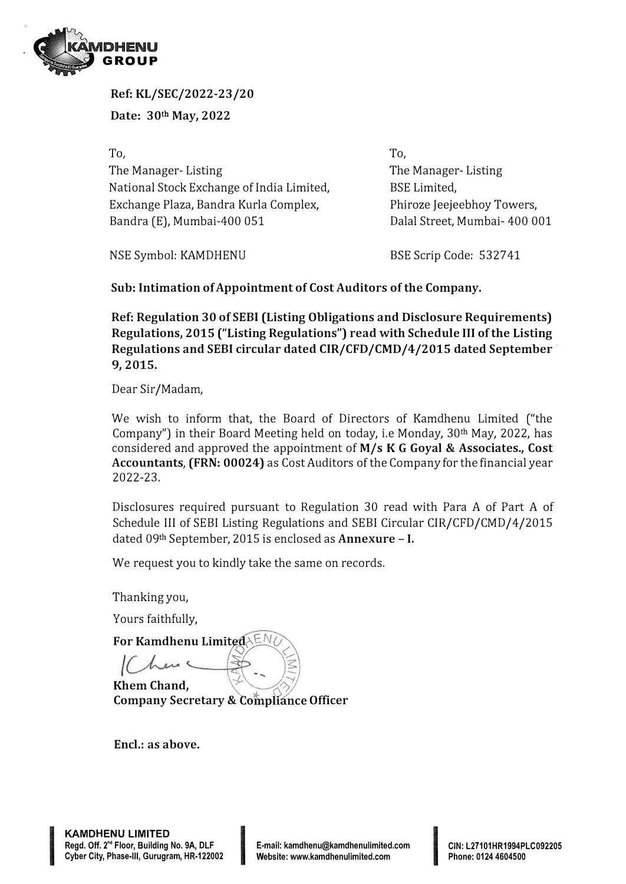

**Ref: KL/SEC/2022-23/20 Date: 30th May, 2022** 

**To,**  The Manager- Listing National Stock Exchange of India Limited, Exchange Plaza, Bandra Kurla Complex, Bandra (E), Mumbai-400 051

**To,**  The Manager- Listing BSE Limited, Phiroze Jeejeebhoy Towers, Dalal Street, Mumbai- 400 001

NSE Symbol: KAMDHENU

BSE Scrip Code: 532741

**Sub: Intimation of Appointment of Cost Auditors of the Company.** 

**Ref: Regulation 30 of SEBI (Listing Obligations and Disclosure Requirements) Regulations, 2015 ("Listing Regulations") read with Schedule** III **of the Listing Regulations and SEBI circular dated CIR/CFD/CMD/4/2015 dated September· 9, 2015.** 

Dear Sir /Madam,

We wish to inform that, the Board of Directors of Kamdhenu Limited ("the Company") in their Board Meeting held on today, i.e Monday, 30<sup>th</sup> May, 2022, has considered and approved the appointment of **M/s KG Goyal** & **Associates., Cost Accountants, (FRN: 00024)** as Cost Auditors of the Company for the financial year 2022-23.

Disclosures required pursuant to Regulation 30 read with Para A of Part A of Schedule III of SEBI Listing Regulations and SEBI Circular CIR/CFD/CMD/4/2015 dated 09th September, 2015 is enclosed as **Annexure** - I.

We request you to kindly take the same on records.

Thanking you,

Yours faithfully,

**For Kamdhenu** 

**Khem Chand, Company Secretary & Compliance Officer** 

**INSTEAD RESIDENTS OF STATISTICS** 

**Encl.: as above.** 

**INTERNATIONAL CONTRACTOR**